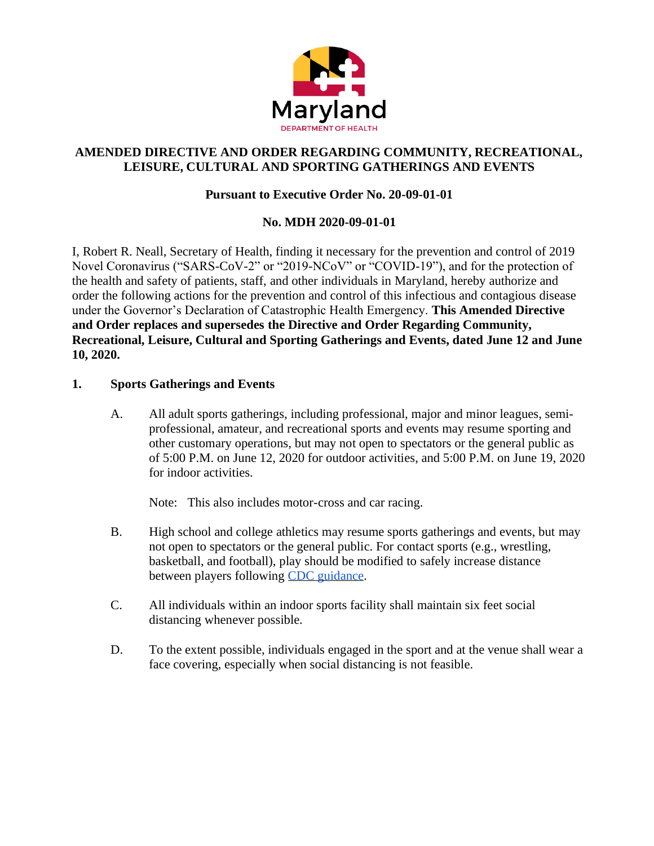

# **AMENDED DIRECTIVE AND ORDER REGARDING COMMUNITY, RECREATIONAL, LEISURE, CULTURAL AND SPORTING GATHERINGS AND EVENTS**

# **Pursuant to Executive Order No. 20-09-01-01**

# **No. MDH 2020-09-01-01**

I, Robert R. Neall, Secretary of Health, finding it necessary for the prevention and control of 2019 Novel Coronavirus ("SARS-CoV-2" or "2019-NCoV" or "COVID-19"), and for the protection of the health and safety of patients, staff, and other individuals in Maryland, hereby authorize and order the following actions for the prevention and control of this infectious and contagious disease under the Governor's Declaration of Catastrophic Health Emergency. **This Amended Directive and Order replaces and supersedes the Directive and Order Regarding Community, Recreational, Leisure, Cultural and Sporting Gatherings and Events, dated June 12 and June 10, 2020.**

### **1. Sports Gatherings and Events**

A. All adult sports gatherings, including professional, major and minor leagues, semiprofessional, amateur, and recreational sports and events may resume sporting and other customary operations, but may not open to spectators or the general public as of 5:00 P.M. on June 12, 2020 for outdoor activities, and 5:00 P.M. on June 19, 2020 for indoor activities.

Note: This also includes motor-cross and car racing.

- B. High school and college athletics may resume sports gatherings and events, but may not open to spectators or the general public. For contact sports (e.g., wrestling, basketball, and football), play should be modified to safely increase distance between players following [CDC guidance.](https://www.cdc.gov/coronavirus/2019-ncov/community/schools-childcare/youth-sports.html)
- C. [All in](https://www.cdc.gov/coronavirus/2019-ncov/community/schools-childcare/youth-sports.html)dividuals within an indoor sports facility shall maintain six feet social distancing whenever possible.
- D. To the extent possible, individuals engaged in the sport and at the venue shall wear a face covering, especially when social distancing is not feasible.